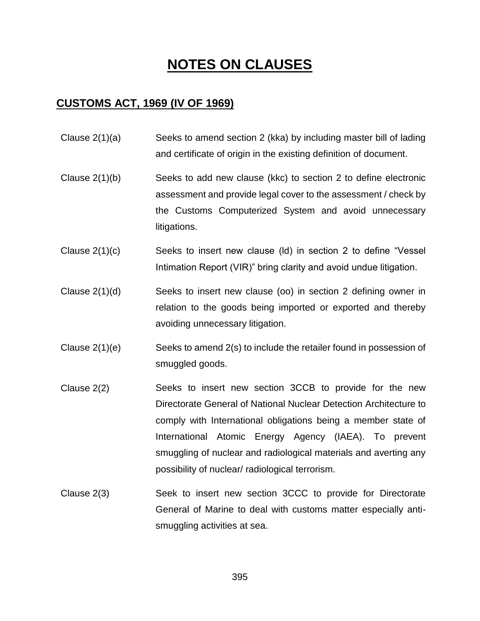# **NOTES ON CLAUSES**

#### **CUSTOMS ACT, 1969 (IV OF 1969)**

- Clause 2(1)(a) Seeks to amend section 2 (kka) by including master bill of lading and certificate of origin in the existing definition of document.
- Clause 2(1)(b) Seeks to add new clause (kkc) to section 2 to define electronic assessment and provide legal cover to the assessment / check by the Customs Computerized System and avoid unnecessary litigations.
- Clause 2(1)(c) Seeks to insert new clause (ld) in section 2 to define "Vessel Intimation Report (VIR)" bring clarity and avoid undue litigation.
- Clause 2(1)(d) Seeks to insert new clause (oo) in section 2 defining owner in relation to the goods being imported or exported and thereby avoiding unnecessary litigation.
- Clause 2(1)(e) Seeks to amend 2(s) to include the retailer found in possession of smuggled goods.
- Clause 2(2) Seeks to insert new section 3CCB to provide for the new Directorate General of National Nuclear Detection Architecture to comply with International obligations being a member state of International Atomic Energy Agency (IAEA). To prevent smuggling of nuclear and radiological materials and averting any possibility of nuclear/ radiological terrorism.
- Clause 2(3) Seek to insert new section 3CCC to provide for Directorate General of Marine to deal with customs matter especially antismuggling activities at sea.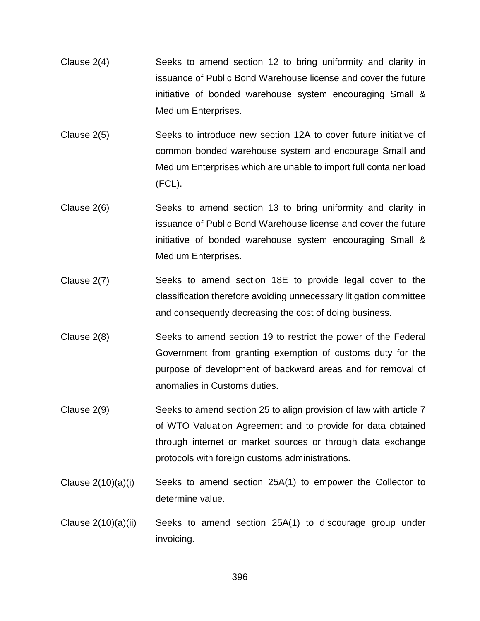- Clause 2(4) Seeks to amend section 12 to bring uniformity and clarity in issuance of Public Bond Warehouse license and cover the future initiative of bonded warehouse system encouraging Small & Medium Enterprises.
- Clause 2(5) Seeks to introduce new section 12A to cover future initiative of common bonded warehouse system and encourage Small and Medium Enterprises which are unable to import full container load (FCL).
- Clause 2(6) Seeks to amend section 13 to bring uniformity and clarity in issuance of Public Bond Warehouse license and cover the future initiative of bonded warehouse system encouraging Small & Medium Enterprises.
- Clause 2(7) Seeks to amend section 18E to provide legal cover to the classification therefore avoiding unnecessary litigation committee and consequently decreasing the cost of doing business.
- Clause 2(8) Seeks to amend section 19 to restrict the power of the Federal Government from granting exemption of customs duty for the purpose of development of backward areas and for removal of anomalies in Customs duties.
- Clause 2(9) Seeks to amend section 25 to align provision of law with article 7 of WTO Valuation Agreement and to provide for data obtained through internet or market sources or through data exchange protocols with foreign customs administrations.
- Clause  $2(10)(a)(i)$  Seeks to amend section  $25A(1)$  to empower the Collector to determine value.
- Clause 2(10)(a)(ii) Seeks to amend section 25A(1) to discourage group under invoicing.

396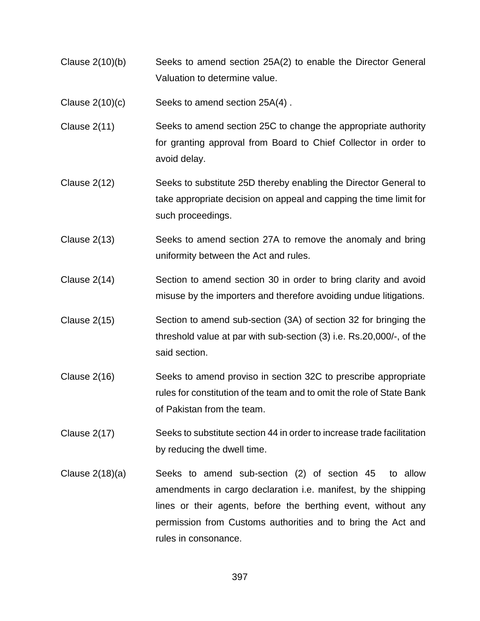- Clause 2(10)(b) Seeks to amend section 25A(2) to enable the Director General Valuation to determine value.
- Clause 2(10)(c) Seeks to amend section 25A(4) .
- Clause 2(11) Seeks to amend section 25C to change the appropriate authority for granting approval from Board to Chief Collector in order to avoid delay.
- Clause 2(12) Seeks to substitute 25D thereby enabling the Director General to take appropriate decision on appeal and capping the time limit for such proceedings.
- Clause 2(13) Seeks to amend section 27A to remove the anomaly and bring uniformity between the Act and rules.
- Clause 2(14) Section to amend section 30 in order to bring clarity and avoid misuse by the importers and therefore avoiding undue litigations.
- Clause 2(15) Section to amend sub-section (3A) of section 32 for bringing the threshold value at par with sub-section (3) i.e. Rs.20,000/-, of the said section.
- Clause 2(16) Seeks to amend proviso in section 32C to prescribe appropriate rules for constitution of the team and to omit the role of State Bank of Pakistan from the team.
- Clause 2(17) Seeks to substitute section 44 in order to increase trade facilitation by reducing the dwell time.
- Clause  $2(18)(a)$  Seeks to amend sub-section  $(2)$  of section  $45$  to allow amendments in cargo declaration i.e. manifest, by the shipping lines or their agents, before the berthing event, without any permission from Customs authorities and to bring the Act and rules in consonance.

397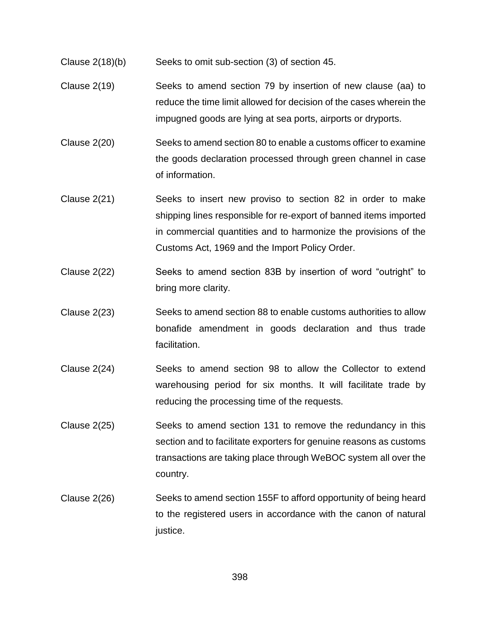- Clause 2(18)(b) Seeks to omit sub-section (3) of section 45.
- Clause 2(19) Seeks to amend section 79 by insertion of new clause (aa) to reduce the time limit allowed for decision of the cases wherein the impugned goods are lying at sea ports, airports or dryports.
- Clause 2(20) Seeks to amend section 80 to enable a customs officer to examine the goods declaration processed through green channel in case of information.
- Clause 2(21) Seeks to insert new proviso to section 82 in order to make shipping lines responsible for re-export of banned items imported in commercial quantities and to harmonize the provisions of the Customs Act, 1969 and the Import Policy Order.
- Clause 2(22) Seeks to amend section 83B by insertion of word "outright" to bring more clarity.
- Clause 2(23) Seeks to amend section 88 to enable customs authorities to allow bonafide amendment in goods declaration and thus trade facilitation.
- Clause 2(24) Seeks to amend section 98 to allow the Collector to extend warehousing period for six months. It will facilitate trade by reducing the processing time of the requests.
- Clause 2(25) Seeks to amend section 131 to remove the redundancy in this section and to facilitate exporters for genuine reasons as customs transactions are taking place through WeBOC system all over the country.
- Clause 2(26) Seeks to amend section 155F to afford opportunity of being heard to the registered users in accordance with the canon of natural justice.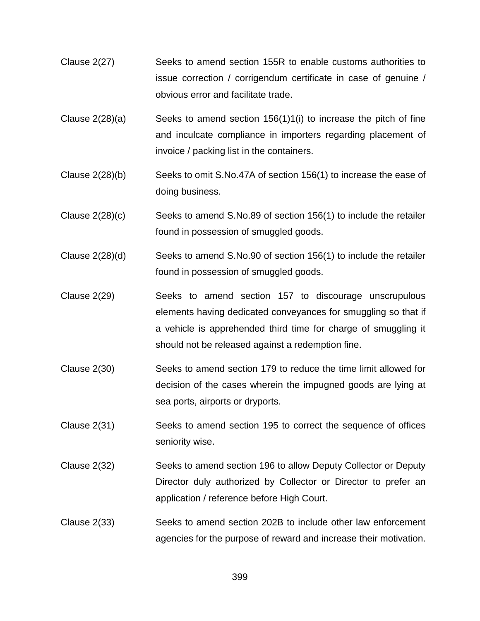- Clause 2(27) Seeks to amend section 155R to enable customs authorities to issue correction / corrigendum certificate in case of genuine / obvious error and facilitate trade.
- Clause  $2(28)(a)$  Seeks to amend section 156(1)1(i) to increase the pitch of fine and inculcate compliance in importers regarding placement of invoice / packing list in the containers.
- Clause 2(28)(b) Seeks to omit S.No.47A of section 156(1) to increase the ease of doing business.
- Clause 2(28)(c) Seeks to amend S.No.89 of section 156(1) to include the retailer found in possession of smuggled goods.
- Clause 2(28)(d) Seeks to amend S.No.90 of section 156(1) to include the retailer found in possession of smuggled goods.
- Clause 2(29) Seeks to amend section 157 to discourage unscrupulous elements having dedicated conveyances for smuggling so that if a vehicle is apprehended third time for charge of smuggling it should not be released against a redemption fine.
- Clause 2(30) Seeks to amend section 179 to reduce the time limit allowed for decision of the cases wherein the impugned goods are lying at sea ports, airports or dryports.
- Clause 2(31) Seeks to amend section 195 to correct the sequence of offices seniority wise.
- Clause 2(32) Seeks to amend section 196 to allow Deputy Collector or Deputy Director duly authorized by Collector or Director to prefer an application / reference before High Court.
- Clause 2(33) Seeks to amend section 202B to include other law enforcement agencies for the purpose of reward and increase their motivation.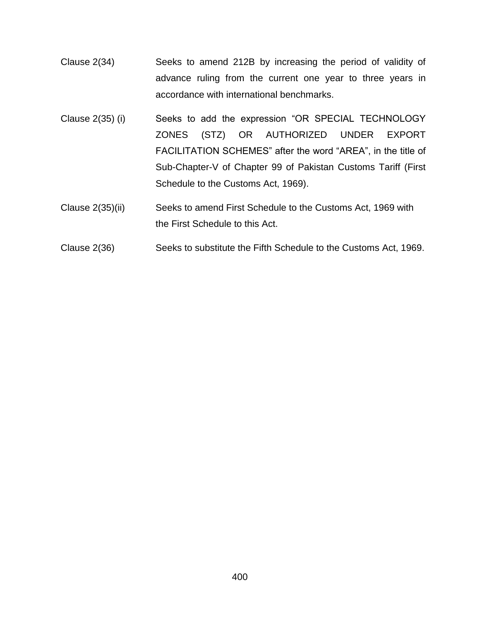- Clause 2(34) Seeks to amend 212B by increasing the period of validity of advance ruling from the current one year to three years in accordance with international benchmarks.
- Clause 2(35) (i) Seeks to add the expression "OR SPECIAL TECHNOLOGY ZONES (STZ) OR AUTHORIZED UNDER EXPORT FACILITATION SCHEMES" after the word "AREA", in the title of Sub-Chapter-V of Chapter 99 of Pakistan Customs Tariff (First Schedule to the Customs Act, 1969).
- Clause 2(35)(ii) Seeks to amend First Schedule to the Customs Act, 1969 with the First Schedule to this Act.
- Clause 2(36) Seeks to substitute the Fifth Schedule to the Customs Act, 1969.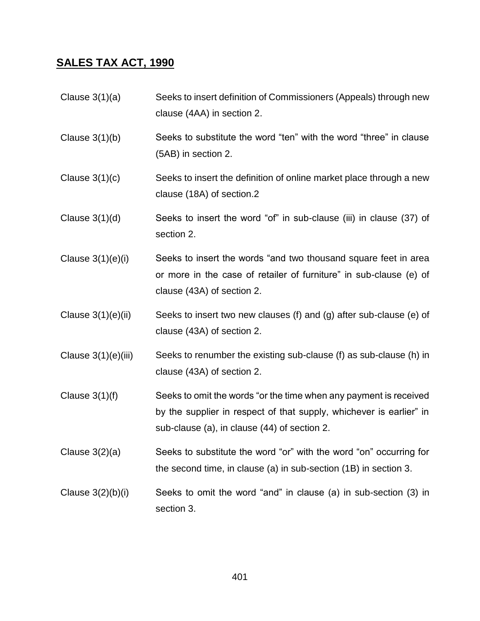#### **SALES TAX ACT, 1990**

- Clause 3(1)(a) Seeks to insert definition of Commissioners (Appeals) through new clause (4AA) in section 2.
- Clause 3(1)(b) Seeks to substitute the word "ten" with the word "three" in clause (5AB) in section 2.
- Clause  $3(1)(c)$  Seeks to insert the definition of online market place through a new clause (18A) of section.2
- Clause  $3(1)(d)$  Seeks to insert the word "of" in sub-clause (iii) in clause (37) of section 2.
- Clause 3(1)(e)(i) Seeks to insert the words "and two thousand square feet in area or more in the case of retailer of furniture" in sub-clause (e) of clause (43A) of section 2.
- Clause  $3(1)(e)(ii)$  Seeks to insert two new clauses (f) and (g) after sub-clause (e) of clause (43A) of section 2.
- Clause 3(1)(e)(iii) Seeks to renumber the existing sub-clause (f) as sub-clause (h) in clause (43A) of section 2.
- Clause  $3(1)(f)$  Seeks to omit the words "or the time when any payment is received by the supplier in respect of that supply, whichever is earlier" in sub-clause (a), in clause (44) of section 2.
- Clause 3(2)(a) Seeks to substitute the word "or" with the word "on" occurring for the second time, in clause (a) in sub-section (1B) in section 3.
- Clause  $3(2)(b)(i)$  Seeks to omit the word "and" in clause (a) in sub-section  $(3)$  in section 3.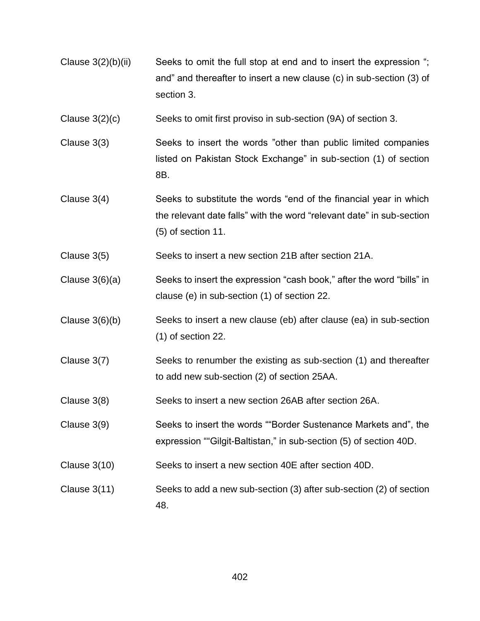- Clause  $3(2)(b)(ii)$  Seeks to omit the full stop at end and to insert the expression "; and" and thereafter to insert a new clause (c) in sub-section (3) of section 3.
- Clause 3(2)(c) Seeks to omit first proviso in sub-section (9A) of section 3.
- Clause 3(3) Seeks to insert the words "other than public limited companies listed on Pakistan Stock Exchange" in sub-section (1) of section 8B.
- Clause 3(4) Seeks to substitute the words "end of the financial year in which the relevant date falls" with the word "relevant date" in sub-section (5) of section 11.
- Clause 3(5) Seeks to insert a new section 21B after section 21A.
- Clause 3(6)(a) Seeks to insert the expression "cash book," after the word "bills" in clause (e) in sub-section (1) of section 22.
- Clause 3(6)(b) Seeks to insert a new clause (eb) after clause (ea) in sub-section (1) of section 22.
- Clause 3(7) Seeks to renumber the existing as sub-section (1) and thereafter to add new sub-section (2) of section 25AA.
- Clause 3(8) Seeks to insert a new section 26AB after section 26A.
- Clause 3(9) Seeks to insert the words ""Border Sustenance Markets and", the expression ""Gilgit-Baltistan," in sub-section (5) of section 40D.
- Clause 3(10) Seeks to insert a new section 40E after section 40D.
- Clause 3(11) Seeks to add a new sub-section (3) after sub-section (2) of section 48.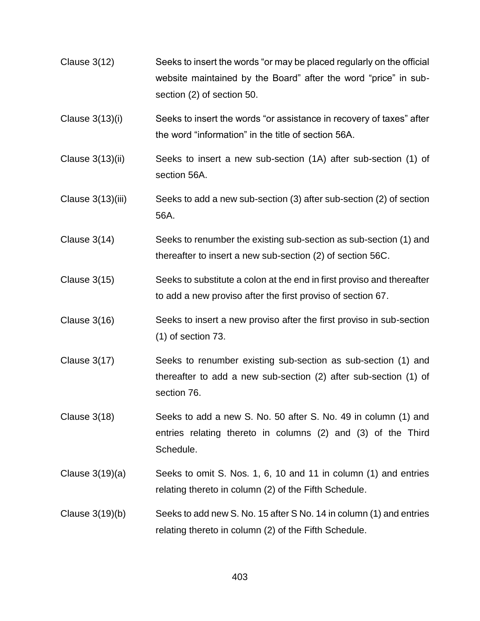- Clause 3(12) Seeks to insert the words "or may be placed regularly on the official website maintained by the Board" after the word "price" in subsection (2) of section 50.
- Clause 3(13)(i) Seeks to insert the words "or assistance in recovery of taxes" after the word "information" in the title of section 56A.
- Clause 3(13)(ii) Seeks to insert a new sub-section (1A) after sub-section (1) of section 56A.
- Clause 3(13)(iii) Seeks to add a new sub-section (3) after sub-section (2) of section 56A.
- Clause 3(14) Seeks to renumber the existing sub-section as sub-section (1) and thereafter to insert a new sub-section (2) of section 56C.
- Clause 3(15) Seeks to substitute a colon at the end in first proviso and thereafter to add a new proviso after the first proviso of section 67.
- Clause 3(16) Seeks to insert a new proviso after the first proviso in sub-section (1) of section 73.
- Clause 3(17) Seeks to renumber existing sub-section as sub-section (1) and thereafter to add a new sub-section (2) after sub-section (1) of section 76.
- Clause 3(18) Seeks to add a new S. No. 50 after S. No. 49 in column (1) and entries relating thereto in columns (2) and (3) of the Third Schedule.
- Clause 3(19)(a) Seeks to omit S. Nos. 1, 6, 10 and 11 in column (1) and entries relating thereto in column (2) of the Fifth Schedule.
- Clause 3(19)(b) Seeks to add new S. No. 15 after S No. 14 in column (1) and entries relating thereto in column (2) of the Fifth Schedule.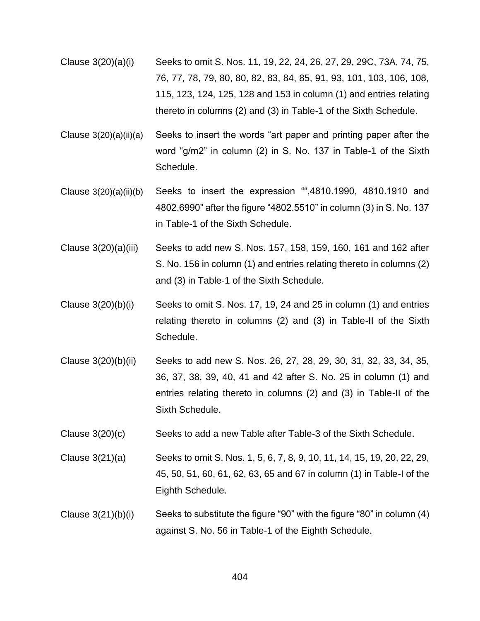- Clause 3(20)(a)(i) Seeks to omit S. Nos. 11, 19, 22, 24, 26, 27, 29, 29C, 73A, 74, 75, 76, 77, 78, 79, 80, 80, 82, 83, 84, 85, 91, 93, 101, 103, 106, 108, 115, 123, 124, 125, 128 and 153 in column (1) and entries relating thereto in columns (2) and (3) in Table-1 of the Sixth Schedule.
- Clause 3(20)(a)(ii)(a) Seeks to insert the words "art paper and printing paper after the word "g/m2" in column (2) in S. No. 137 in Table-1 of the Sixth Schedule.
- Clause 3(20)(a)(ii)(b) Seeks to insert the expression "",4810.1990, 4810.1910 and 4802.6990" after the figure "4802.5510" in column (3) in S. No. 137 in Table-1 of the Sixth Schedule.
- Clause 3(20)(a)(iii) Seeks to add new S. Nos. 157, 158, 159, 160, 161 and 162 after S. No. 156 in column (1) and entries relating thereto in columns (2) and (3) in Table-1 of the Sixth Schedule.
- Clause  $3(20)(b)(i)$  Seeks to omit S. Nos. 17, 19, 24 and 25 in column (1) and entries relating thereto in columns (2) and (3) in Table-II of the Sixth Schedule.
- Clause 3(20)(b)(ii) Seeks to add new S. Nos. 26, 27, 28, 29, 30, 31, 32, 33, 34, 35, 36, 37, 38, 39, 40, 41 and 42 after S. No. 25 in column (1) and entries relating thereto in columns (2) and (3) in Table-II of the Sixth Schedule.
- Clause 3(20)(c) Seeks to add a new Table after Table-3 of the Sixth Schedule.
- Clause 3(21)(a) Seeks to omit S. Nos. 1, 5, 6, 7, 8, 9, 10, 11, 14, 15, 19, 20, 22, 29, 45, 50, 51, 60, 61, 62, 63, 65 and 67 in column (1) in Table-I of the Eighth Schedule.
- Clause 3(21)(b)(i) Seeks to substitute the figure "90" with the figure "80" in column (4) against S. No. 56 in Table-1 of the Eighth Schedule.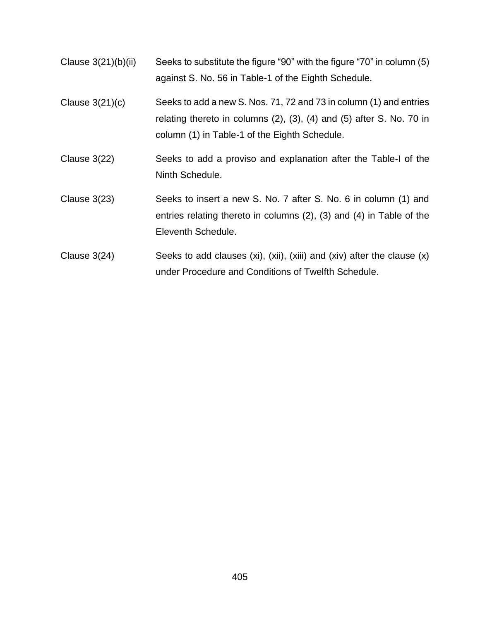- Clause 3(21)(b)(ii) Seeks to substitute the figure "90" with the figure "70" in column (5) against S. No. 56 in Table-1 of the Eighth Schedule.
- Clause 3(21)(c) Seeks to add a new S. Nos. 71, 72 and 73 in column (1) and entries relating thereto in columns (2), (3), (4) and (5) after S. No. 70 in column (1) in Table-1 of the Eighth Schedule.
- Clause 3(22) Seeks to add a proviso and explanation after the Table-I of the Ninth Schedule.
- Clause 3(23) Seeks to insert a new S. No. 7 after S. No. 6 in column (1) and entries relating thereto in columns (2), (3) and (4) in Table of the Eleventh Schedule.
- Clause  $3(24)$  Seeks to add clauses (xi), (xii), (xiii) and (xiv) after the clause (x) under Procedure and Conditions of Twelfth Schedule.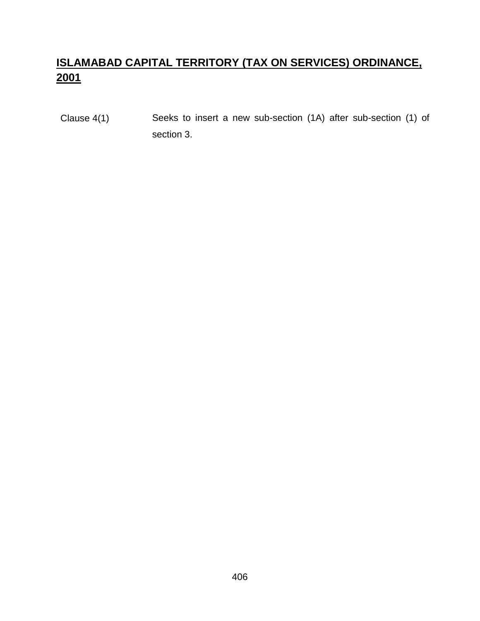# **ISLAMABAD CAPITAL TERRITORY (TAX ON SERVICES) ORDINANCE, 2001**

Clause 4(1) Seeks to insert a new sub-section (1A) after sub-section (1) of section 3.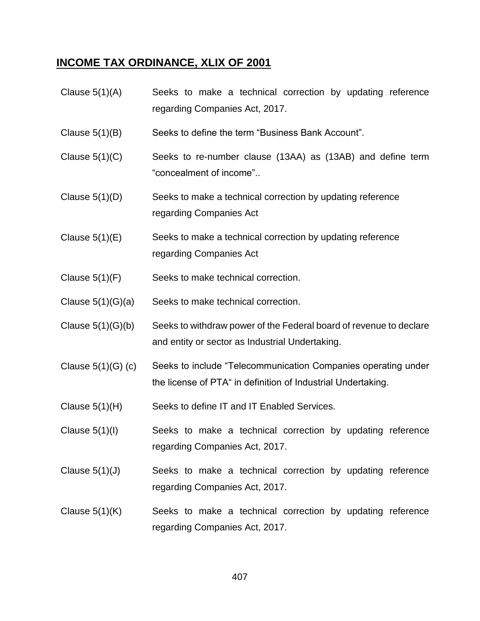# **INCOME TAX ORDINANCE, XLIX OF 2001**

| Clause $5(1)(A)$     | Seeks to make a technical correction by updating reference<br>regarding Companies Act, 2017.                                  |
|----------------------|-------------------------------------------------------------------------------------------------------------------------------|
| Clause $5(1)(B)$     | Seeks to define the term "Business Bank Account".                                                                             |
| Clause $5(1)(C)$     | Seeks to re-number clause (13AA) as (13AB) and define term<br>"concealment of income"                                         |
| Clause $5(1)(D)$     | Seeks to make a technical correction by updating reference<br>regarding Companies Act                                         |
| Clause $5(1)(E)$     | Seeks to make a technical correction by updating reference<br>regarding Companies Act                                         |
| Clause $5(1)(F)$     | Seeks to make technical correction.                                                                                           |
| Clause $5(1)(G)(a)$  | Seeks to make technical correction.                                                                                           |
| Clause $5(1)(G)(b)$  | Seeks to withdraw power of the Federal board of revenue to declare<br>and entity or sector as Industrial Undertaking.         |
| Clause $5(1)(G)$ (c) | Seeks to include "Telecommunication Companies operating under<br>the license of PTA" in definition of Industrial Undertaking. |
| Clause $5(1)(H)$     | Seeks to define IT and IT Enabled Services.                                                                                   |
| Clause $5(1)(l)$     | Seeks to make a technical correction by updating reference<br>regarding Companies Act, 2017.                                  |
| Clause $5(1)(J)$     | Seeks to make a technical correction by updating reference<br>regarding Companies Act, 2017.                                  |
| Clause $5(1)(K)$     | Seeks to make a technical correction by updating reference<br>regarding Companies Act, 2017.                                  |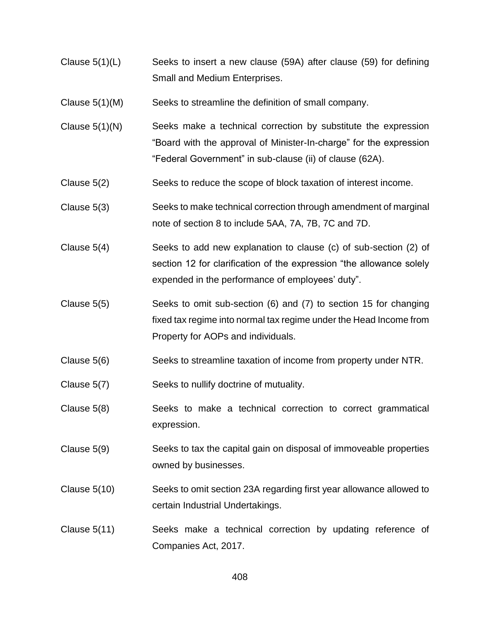- Clause 5(1)(L) Seeks to insert a new clause (59A) after clause (59) for defining Small and Medium Enterprises.
- Clause 5(1)(M) Seeks to streamline the definition of small company.
- Clause 5(1)(N) Seeks make a technical correction by substitute the expression "Board with the approval of Minister-In-charge" for the expression "Federal Government" in sub-clause (ii) of clause (62A).
- Clause 5(2) Seeks to reduce the scope of block taxation of interest income.
- Clause 5(3) Seeks to make technical correction through amendment of marginal note of section 8 to include 5AA, 7A, 7B, 7C and 7D.
- Clause 5(4) Seeks to add new explanation to clause (c) of sub-section (2) of section 12 for clarification of the expression "the allowance solely expended in the performance of employees' duty".
- Clause 5(5) Seeks to omit sub-section (6) and (7) to section 15 for changing fixed tax regime into normal tax regime under the Head Income from Property for AOPs and individuals.
- Clause 5(6) Seeks to streamline taxation of income from property under NTR.
- Clause 5(7) Seeks to nullify doctrine of mutuality.
- Clause 5(8) Seeks to make a technical correction to correct grammatical expression.
- Clause 5(9) Seeks to tax the capital gain on disposal of immoveable properties owned by businesses.
- Clause 5(10) Seeks to omit section 23A regarding first year allowance allowed to certain Industrial Undertakings.
- Clause 5(11) Seeks make a technical correction by updating reference of Companies Act, 2017.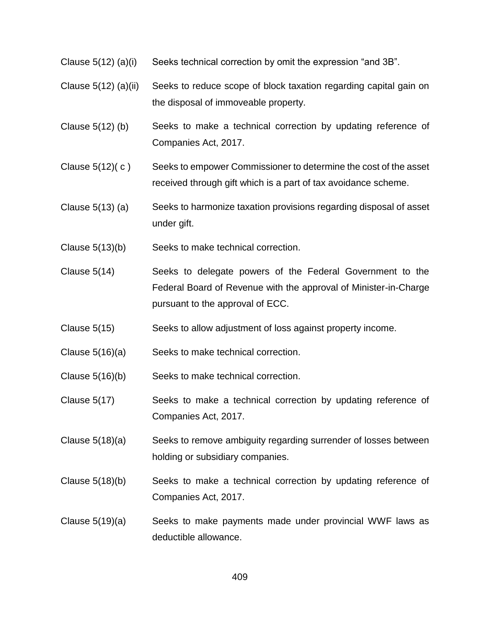- Clause 5(12) (a)(i) Seeks technical correction by omit the expression "and 3B".
- Clause 5(12) (a)(ii) Seeks to reduce scope of block taxation regarding capital gain on the disposal of immoveable property.
- Clause 5(12) (b) Seeks to make a technical correction by updating reference of Companies Act, 2017.
- Clause 5(12)( c ) Seeks to empower Commissioner to determine the cost of the asset received through gift which is a part of tax avoidance scheme.
- Clause 5(13) (a) Seeks to harmonize taxation provisions regarding disposal of asset under gift.
- Clause 5(13)(b) Seeks to make technical correction.
- Clause 5(14) Seeks to delegate powers of the Federal Government to the Federal Board of Revenue with the approval of Minister-in-Charge pursuant to the approval of ECC.
- Clause 5(15) Seeks to allow adjustment of loss against property income.
- Clause 5(16)(a) Seeks to make technical correction.
- Clause 5(16)(b) Seeks to make technical correction.
- Clause 5(17) Seeks to make a technical correction by updating reference of Companies Act, 2017.
- Clause 5(18)(a) Seeks to remove ambiguity regarding surrender of losses between holding or subsidiary companies.
- Clause 5(18)(b) Seeks to make a technical correction by updating reference of Companies Act, 2017.
- Clause 5(19)(a) Seeks to make payments made under provincial WWF laws as deductible allowance.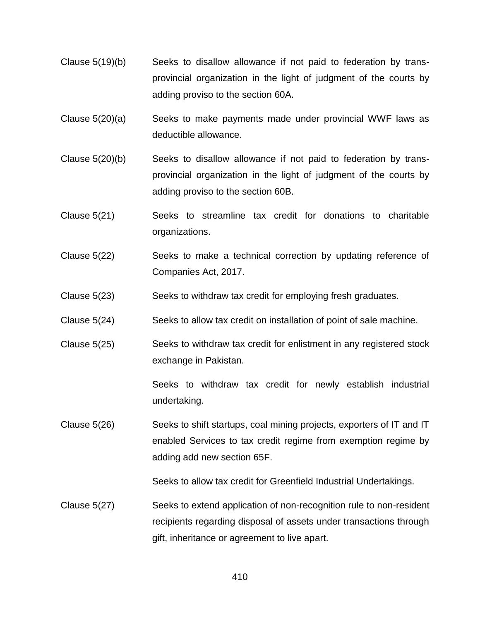- Clause 5(19)(b) Seeks to disallow allowance if not paid to federation by transprovincial organization in the light of judgment of the courts by adding proviso to the section 60A.
- Clause 5(20)(a) Seeks to make payments made under provincial WWF laws as deductible allowance.
- Clause 5(20)(b) Seeks to disallow allowance if not paid to federation by transprovincial organization in the light of judgment of the courts by adding proviso to the section 60B.
- Clause 5(21) Seeks to streamline tax credit for donations to charitable organizations.
- Clause 5(22) Seeks to make a technical correction by updating reference of Companies Act, 2017.
- Clause 5(23) Seeks to withdraw tax credit for employing fresh graduates.
- Clause 5(24) Seeks to allow tax credit on installation of point of sale machine.
- Clause 5(25) Seeks to withdraw tax credit for enlistment in any registered stock exchange in Pakistan.

Seeks to withdraw tax credit for newly establish industrial undertaking.

Clause 5(26) Seeks to shift startups, coal mining projects, exporters of IT and IT enabled Services to tax credit regime from exemption regime by adding add new section 65F.

Seeks to allow tax credit for Greenfield Industrial Undertakings.

Clause 5(27) Seeks to extend application of non-recognition rule to non-resident recipients regarding disposal of assets under transactions through gift, inheritance or agreement to live apart.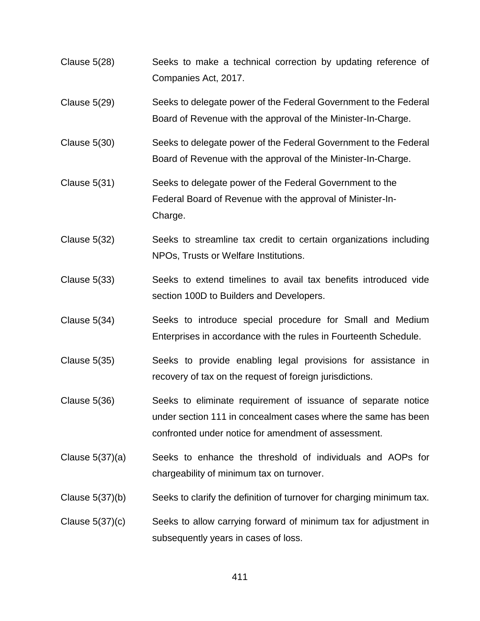- Clause 5(28) Seeks to make a technical correction by updating reference of Companies Act, 2017.
- Clause 5(29) Seeks to delegate power of the Federal Government to the Federal Board of Revenue with the approval of the Minister-In-Charge.
- Clause 5(30) Seeks to delegate power of the Federal Government to the Federal Board of Revenue with the approval of the Minister-In-Charge.
- Clause 5(31) Seeks to delegate power of the Federal Government to the Federal Board of Revenue with the approval of Minister-In-Charge.
- Clause 5(32) Seeks to streamline tax credit to certain organizations including NPOs, Trusts or Welfare Institutions.
- Clause 5(33) Seeks to extend timelines to avail tax benefits introduced vide section 100D to Builders and Developers.
- Clause 5(34) Seeks to introduce special procedure for Small and Medium Enterprises in accordance with the rules in Fourteenth Schedule.
- Clause 5(35) Seeks to provide enabling legal provisions for assistance in recovery of tax on the request of foreign jurisdictions.
- Clause 5(36) Seeks to eliminate requirement of issuance of separate notice under section 111 in concealment cases where the same has been confronted under notice for amendment of assessment.
- Clause 5(37)(a) Seeks to enhance the threshold of individuals and AOPs for chargeability of minimum tax on turnover.
- Clause 5(37)(b) Seeks to clarify the definition of turnover for charging minimum tax.
- Clause 5(37)(c) Seeks to allow carrying forward of minimum tax for adjustment in subsequently years in cases of loss.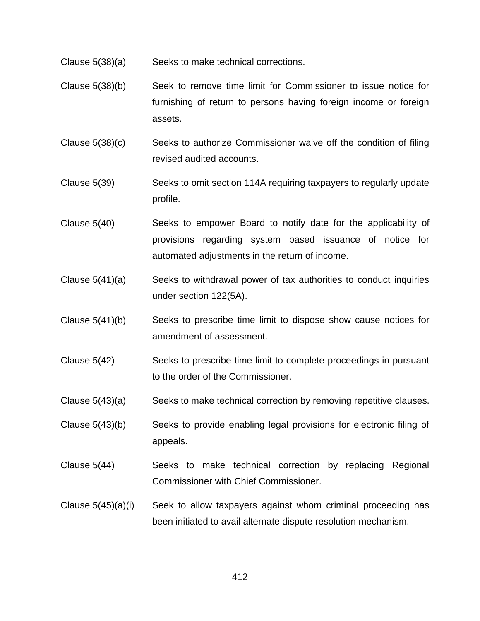- Clause 5(38)(a) Seeks to make technical corrections.
- Clause 5(38)(b) Seek to remove time limit for Commissioner to issue notice for furnishing of return to persons having foreign income or foreign assets.
- Clause 5(38)(c) Seeks to authorize Commissioner waive off the condition of filing revised audited accounts.
- Clause 5(39) Seeks to omit section 114A requiring taxpayers to regularly update profile.
- Clause 5(40) Seeks to empower Board to notify date for the applicability of provisions regarding system based issuance of notice for automated adjustments in the return of income.
- Clause 5(41)(a) Seeks to withdrawal power of tax authorities to conduct inquiries under section 122(5A).
- Clause 5(41)(b) Seeks to prescribe time limit to dispose show cause notices for amendment of assessment.
- Clause 5(42) Seeks to prescribe time limit to complete proceedings in pursuant to the order of the Commissioner.
- Clause 5(43)(a) Seeks to make technical correction by removing repetitive clauses.
- Clause 5(43)(b) Seeks to provide enabling legal provisions for electronic filing of appeals.
- Clause 5(44) Seeks to make technical correction by replacing Regional Commissioner with Chief Commissioner.
- Clause 5(45)(a)(i) Seek to allow taxpayers against whom criminal proceeding has been initiated to avail alternate dispute resolution mechanism.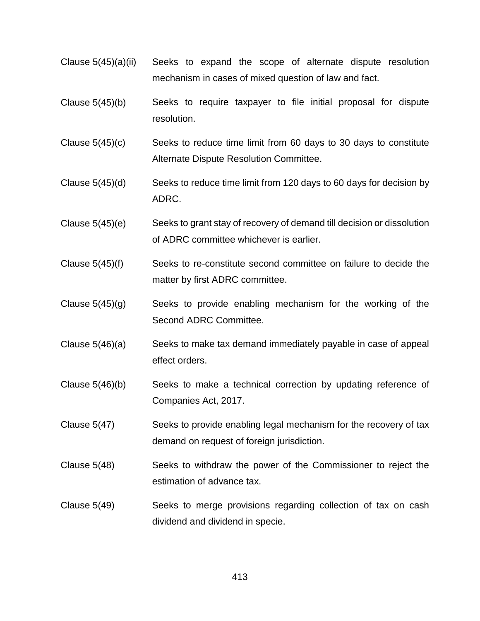- Clause 5(45)(a)(ii) Seeks to expand the scope of alternate dispute resolution mechanism in cases of mixed question of law and fact.
- Clause 5(45)(b) Seeks to require taxpayer to file initial proposal for dispute resolution.
- Clause  $5(45)(c)$  Seeks to reduce time limit from 60 days to 30 days to constitute Alternate Dispute Resolution Committee.
- Clause 5(45)(d) Seeks to reduce time limit from 120 days to 60 days for decision by ADRC.
- Clause 5(45)(e) Seeks to grant stay of recovery of demand till decision or dissolution of ADRC committee whichever is earlier.
- Clause 5(45)(f) Seeks to re-constitute second committee on failure to decide the matter by first ADRC committee.
- Clause  $5(45)(g)$  Seeks to provide enabling mechanism for the working of the Second ADRC Committee.
- Clause 5(46)(a) Seeks to make tax demand immediately payable in case of appeal effect orders.
- Clause 5(46)(b) Seeks to make a technical correction by updating reference of Companies Act, 2017.
- Clause 5(47) Seeks to provide enabling legal mechanism for the recovery of tax demand on request of foreign jurisdiction.
- Clause 5(48) Seeks to withdraw the power of the Commissioner to reject the estimation of advance tax.
- Clause 5(49) Seeks to merge provisions regarding collection of tax on cash dividend and dividend in specie.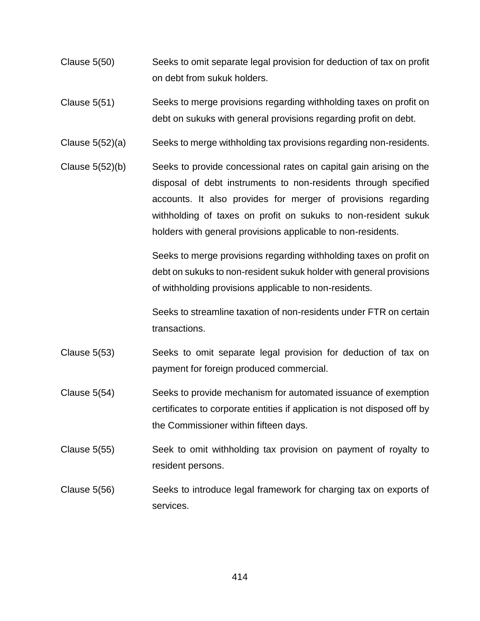- Clause 5(50) Seeks to omit separate legal provision for deduction of tax on profit on debt from sukuk holders.
- Clause 5(51) Seeks to merge provisions regarding withholding taxes on profit on debt on sukuks with general provisions regarding profit on debt.
- Clause 5(52)(a) Seeks to merge withholding tax provisions regarding non-residents.
- Clause 5(52)(b) Seeks to provide concessional rates on capital gain arising on the disposal of debt instruments to non-residents through specified accounts. It also provides for merger of provisions regarding withholding of taxes on profit on sukuks to non-resident sukuk holders with general provisions applicable to non-residents.

Seeks to merge provisions regarding withholding taxes on profit on debt on sukuks to non-resident sukuk holder with general provisions of withholding provisions applicable to non-residents.

Seeks to streamline taxation of non-residents under FTR on certain transactions.

- Clause 5(53) Seeks to omit separate legal provision for deduction of tax on payment for foreign produced commercial.
- Clause 5(54) Seeks to provide mechanism for automated issuance of exemption certificates to corporate entities if application is not disposed off by the Commissioner within fifteen days.
- Clause 5(55) Seek to omit withholding tax provision on payment of royalty to resident persons.
- Clause 5(56) Seeks to introduce legal framework for charging tax on exports of services.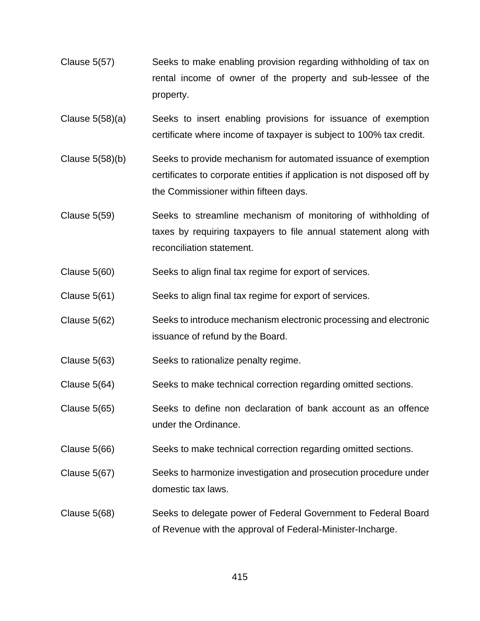- Clause 5(57) Seeks to make enabling provision regarding withholding of tax on rental income of owner of the property and sub-lessee of the property.
- Clause 5(58)(a) Seeks to insert enabling provisions for issuance of exemption certificate where income of taxpayer is subject to 100% tax credit.
- Clause 5(58)(b) Seeks to provide mechanism for automated issuance of exemption certificates to corporate entities if application is not disposed off by the Commissioner within fifteen days.
- Clause 5(59) Seeks to streamline mechanism of monitoring of withholding of taxes by requiring taxpayers to file annual statement along with reconciliation statement.
- Clause 5(60) Seeks to align final tax regime for export of services.
- Clause 5(61) Seeks to align final tax regime for export of services.
- Clause 5(62) Seeks to introduce mechanism electronic processing and electronic issuance of refund by the Board.
- Clause 5(63) Seeks to rationalize penalty regime.
- Clause 5(64) Seeks to make technical correction regarding omitted sections.
- Clause 5(65) Seeks to define non declaration of bank account as an offence under the Ordinance.
- Clause 5(66) Seeks to make technical correction regarding omitted sections.
- Clause 5(67) Seeks to harmonize investigation and prosecution procedure under domestic tax laws.
- Clause 5(68) Seeks to delegate power of Federal Government to Federal Board of Revenue with the approval of Federal-Minister-Incharge.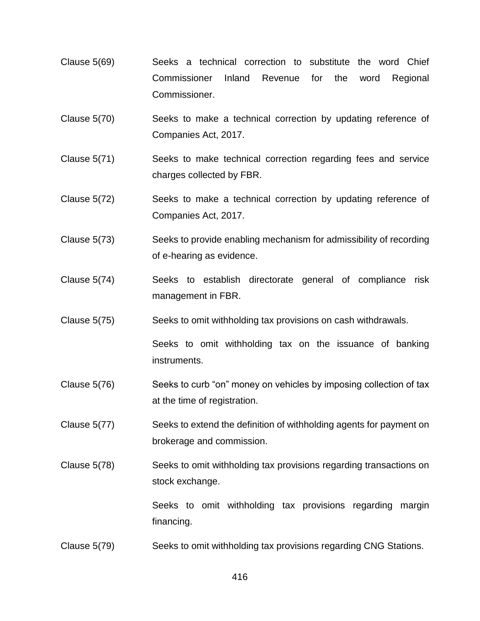- Clause 5(69) Seeks a technical correction to substitute the word Chief Commissioner Inland Revenue for the word Regional Commissioner.
- Clause 5(70) Seeks to make a technical correction by updating reference of Companies Act, 2017.
- Clause 5(71) Seeks to make technical correction regarding fees and service charges collected by FBR.
- Clause 5(72) Seeks to make a technical correction by updating reference of Companies Act, 2017.
- Clause 5(73) Seeks to provide enabling mechanism for admissibility of recording of e-hearing as evidence.
- Clause 5(74) Seeks to establish directorate general of compliance risk management in FBR.
- Clause 5(75) Seeks to omit withholding tax provisions on cash withdrawals.

Seeks to omit withholding tax on the issuance of banking instruments.

- Clause 5(76) Seeks to curb "on" money on vehicles by imposing collection of tax at the time of registration.
- Clause 5(77) Seeks to extend the definition of withholding agents for payment on brokerage and commission.
- Clause 5(78) Seeks to omit withholding tax provisions regarding transactions on stock exchange.

Seeks to omit withholding tax provisions regarding margin financing.

Clause 5(79) Seeks to omit withholding tax provisions regarding CNG Stations.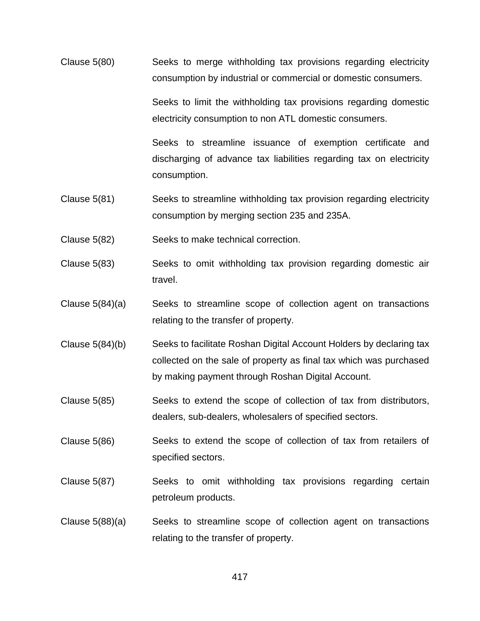Clause 5(80) Seeks to merge withholding tax provisions regarding electricity consumption by industrial or commercial or domestic consumers.

> Seeks to limit the withholding tax provisions regarding domestic electricity consumption to non ATL domestic consumers.

> Seeks to streamline issuance of exemption certificate and discharging of advance tax liabilities regarding tax on electricity consumption.

- Clause 5(81) Seeks to streamline withholding tax provision regarding electricity consumption by merging section 235 and 235A.
- Clause 5(82) Seeks to make technical correction.
- Clause 5(83) Seeks to omit withholding tax provision regarding domestic air travel.
- Clause 5(84)(a) Seeks to streamline scope of collection agent on transactions relating to the transfer of property.
- Clause 5(84)(b) Seeks to facilitate Roshan Digital Account Holders by declaring tax collected on the sale of property as final tax which was purchased by making payment through Roshan Digital Account.
- Clause 5(85) Seeks to extend the scope of collection of tax from distributors, dealers, sub-dealers, wholesalers of specified sectors.
- Clause 5(86) Seeks to extend the scope of collection of tax from retailers of specified sectors.
- Clause 5(87) Seeks to omit withholding tax provisions regarding certain petroleum products.
- Clause 5(88)(a) Seeks to streamline scope of collection agent on transactions relating to the transfer of property.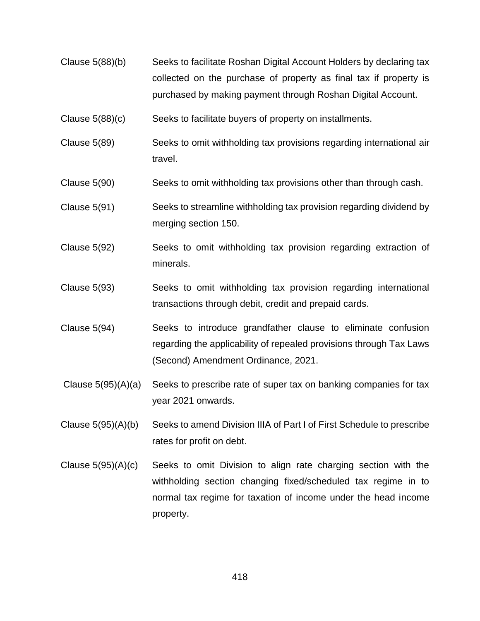- Clause 5(88)(b) Seeks to facilitate Roshan Digital Account Holders by declaring tax collected on the purchase of property as final tax if property is purchased by making payment through Roshan Digital Account.
- Clause 5(88)(c) Seeks to facilitate buyers of property on installments.
- Clause 5(89) Seeks to omit withholding tax provisions regarding international air travel.
- Clause 5(90) Seeks to omit withholding tax provisions other than through cash.
- Clause 5(91) Seeks to streamline withholding tax provision regarding dividend by merging section 150.
- Clause 5(92) Seeks to omit withholding tax provision regarding extraction of minerals.
- Clause 5(93) Seeks to omit withholding tax provision regarding international transactions through debit, credit and prepaid cards.
- Clause 5(94) Seeks to introduce grandfather clause to eliminate confusion regarding the applicability of repealed provisions through Tax Laws (Second) Amendment Ordinance, 2021.
- Clause 5(95)(A)(a) Seeks to prescribe rate of super tax on banking companies for tax year 2021 onwards.
- Clause 5(95)(A)(b) Seeks to amend Division IIIA of Part I of First Schedule to prescribe rates for profit on debt.
- Clause 5(95)(A)(c) Seeks to omit Division to align rate charging section with the withholding section changing fixed/scheduled tax regime in to normal tax regime for taxation of income under the head income property.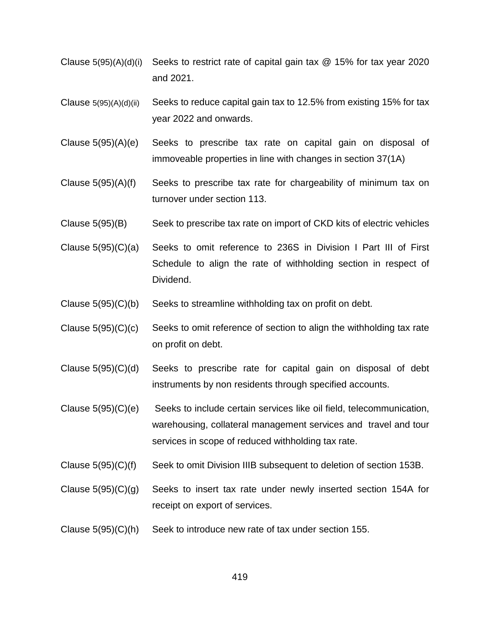- Clause  $5(95)(A)(d)(i)$  Seeks to restrict rate of capital gain tax  $@$  15% for tax year 2020 and 2021.
- Clause 5(95)(A)(d)(ii) Seeks to reduce capital gain tax to 12.5% from existing 15% for tax year 2022 and onwards.
- Clause 5(95)(A)(e) Seeks to prescribe tax rate on capital gain on disposal of immoveable properties in line with changes in section 37(1A)
- Clause 5(95)(A)(f) Seeks to prescribe tax rate for chargeability of minimum tax on turnover under section 113.
- Clause 5(95)(B) Seek to prescribe tax rate on import of CKD kits of electric vehicles
- Clause 5(95)(C)(a) Seeks to omit reference to 236S in Division I Part III of First Schedule to align the rate of withholding section in respect of Dividend.
- Clause  $5(95)(C)(b)$  Seeks to streamline withholding tax on profit on debt.
- Clause  $5(95)(C)(c)$  Seeks to omit reference of section to align the withholding tax rate on profit on debt.
- Clause 5(95)(C)(d) Seeks to prescribe rate for capital gain on disposal of debt instruments by non residents through specified accounts.
- Clause 5(95)(C)(e) Seeks to include certain services like oil field, telecommunication, warehousing, collateral management services and travel and tour services in scope of reduced withholding tax rate.
- Clause 5(95)(C)(f) Seek to omit Division IIIB subsequent to deletion of section 153B.
- Clause  $5(95)(C)(g)$  Seeks to insert tax rate under newly inserted section 154A for receipt on export of services.
- Clause 5(95)(C)(h) Seek to introduce new rate of tax under section 155.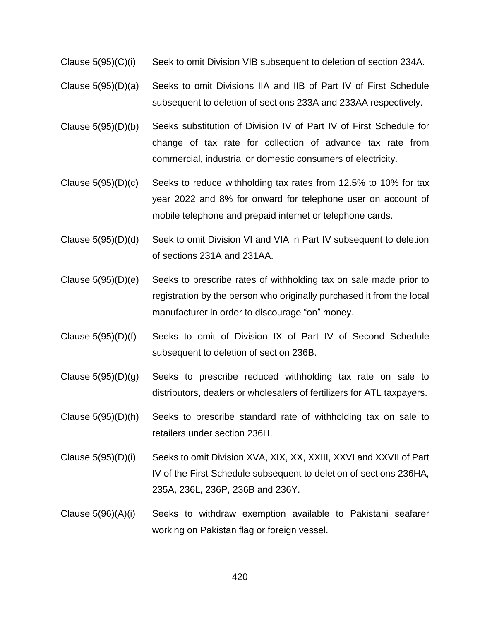- Clause 5(95)(C)(i) Seek to omit Division VIB subsequent to deletion of section 234A.
- Clause 5(95)(D)(a) Seeks to omit Divisions IIA and IIB of Part IV of First Schedule subsequent to deletion of sections 233A and 233AA respectively.
- Clause 5(95)(D)(b) Seeks substitution of Division IV of Part IV of First Schedule for change of tax rate for collection of advance tax rate from commercial, industrial or domestic consumers of electricity.
- Clause 5(95)(D)(c) Seeks to reduce withholding tax rates from 12.5% to 10% for tax year 2022 and 8% for onward for telephone user on account of mobile telephone and prepaid internet or telephone cards.
- Clause 5(95)(D)(d) Seek to omit Division VI and VIA in Part IV subsequent to deletion of sections 231A and 231AA.
- Clause 5(95)(D)(e) Seeks to prescribe rates of withholding tax on sale made prior to registration by the person who originally purchased it from the local manufacturer in order to discourage "on" money.
- Clause 5(95)(D)(f) Seeks to omit of Division IX of Part IV of Second Schedule subsequent to deletion of section 236B.
- Clause 5(95)(D)(g) Seeks to prescribe reduced withholding tax rate on sale to distributors, dealers or wholesalers of fertilizers for ATL taxpayers.
- Clause 5(95)(D)(h) Seeks to prescribe standard rate of withholding tax on sale to retailers under section 236H.
- Clause 5(95)(D)(i) Seeks to omit Division XVA, XIX, XX, XXIII, XXVI and XXVII of Part IV of the First Schedule subsequent to deletion of sections 236HA, 235A, 236L, 236P, 236B and 236Y.
- Clause 5(96)(A)(i) Seeks to withdraw exemption available to Pakistani seafarer working on Pakistan flag or foreign vessel.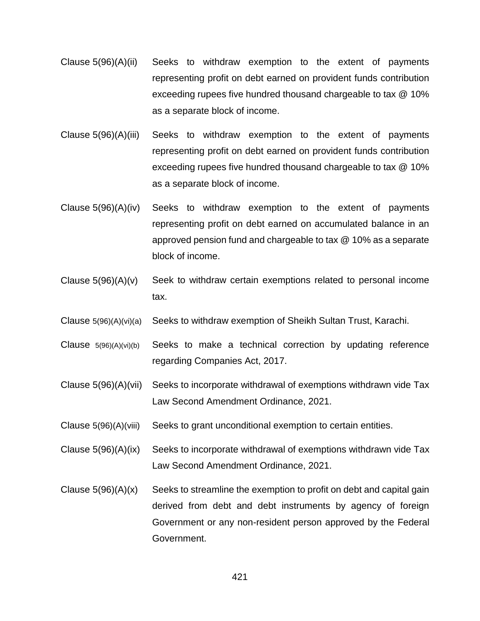- Clause 5(96)(A)(ii) Seeks to withdraw exemption to the extent of payments representing profit on debt earned on provident funds contribution exceeding rupees five hundred thousand chargeable to tax @ 10% as a separate block of income.
- Clause 5(96)(A)(iii) Seeks to withdraw exemption to the extent of payments representing profit on debt earned on provident funds contribution exceeding rupees five hundred thousand chargeable to tax @ 10% as a separate block of income.
- Clause 5(96)(A)(iv) Seeks to withdraw exemption to the extent of payments representing profit on debt earned on accumulated balance in an approved pension fund and chargeable to tax @ 10% as a separate block of income.
- Clause  $5(96)(A)(v)$  Seek to withdraw certain exemptions related to personal income tax.
- Clause 5(96)(A)(vi)(a) Seeks to withdraw exemption of Sheikh Sultan Trust, Karachi.
- Clause 5(96)(A)(vi)(b) Seeks to make a technical correction by updating reference regarding Companies Act, 2017.
- Clause 5(96)(A)(vii) Seeks to incorporate withdrawal of exemptions withdrawn vide Tax Law Second Amendment Ordinance, 2021.
- Clause 5(96)(A)(viii) Seeks to grant unconditional exemption to certain entities.
- Clause 5(96)(A)(ix) Seeks to incorporate withdrawal of exemptions withdrawn vide Tax Law Second Amendment Ordinance, 2021.
- Clause  $5(96)(A)(x)$  Seeks to streamline the exemption to profit on debt and capital gain derived from debt and debt instruments by agency of foreign Government or any non-resident person approved by the Federal Government.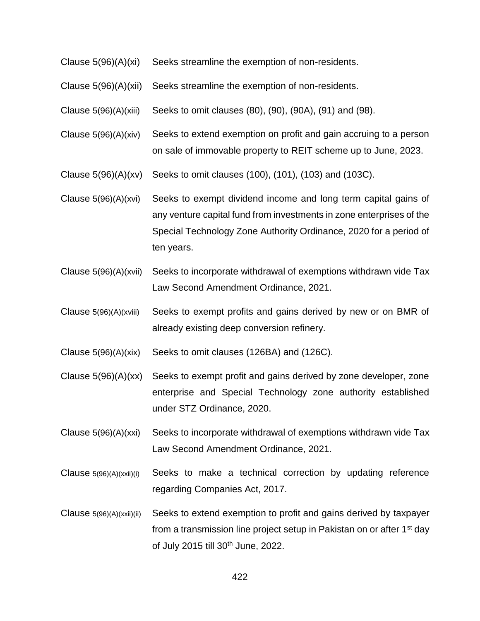- Clause 5(96)(A)(xi) Seeks streamline the exemption of non-residents.
- Clause 5(96)(A)(xii) Seeks streamline the exemption of non-residents.
- Clause 5(96)(A)(xiii) Seeks to omit clauses (80), (90), (90A), (91) and (98).
- Clause 5(96)(A)(xiv) Seeks to extend exemption on profit and gain accruing to a person on sale of immovable property to REIT scheme up to June, 2023.
- Clause 5(96)(A)(xv) Seeks to omit clauses (100), (101), (103) and (103C).
- Clause 5(96)(A)(xvi) Seeks to exempt dividend income and long term capital gains of any venture capital fund from investments in zone enterprises of the Special Technology Zone Authority Ordinance, 2020 for a period of ten years.
- Clause 5(96)(A)(xvii) Seeks to incorporate withdrawal of exemptions withdrawn vide Tax Law Second Amendment Ordinance, 2021.
- Clause 5(96)(A)(xviii) Seeks to exempt profits and gains derived by new or on BMR of already existing deep conversion refinery.
- Clause 5(96)(A)(xix) Seeks to omit clauses (126BA) and (126C).
- Clause 5(96)(A)(xx) Seeks to exempt profit and gains derived by zone developer, zone enterprise and Special Technology zone authority established under STZ Ordinance, 2020.
- Clause 5(96)(A)(xxi) Seeks to incorporate withdrawal of exemptions withdrawn vide Tax Law Second Amendment Ordinance, 2021.
- Clause 5(96)(A)(xxii)(i) Seeks to make a technical correction by updating reference regarding Companies Act, 2017.
- Clause 5(96)(A)(xxii)(ii) Seeks to extend exemption to profit and gains derived by taxpayer from a transmission line project setup in Pakistan on or after 1<sup>st</sup> day of July 2015 till 30th June, 2022.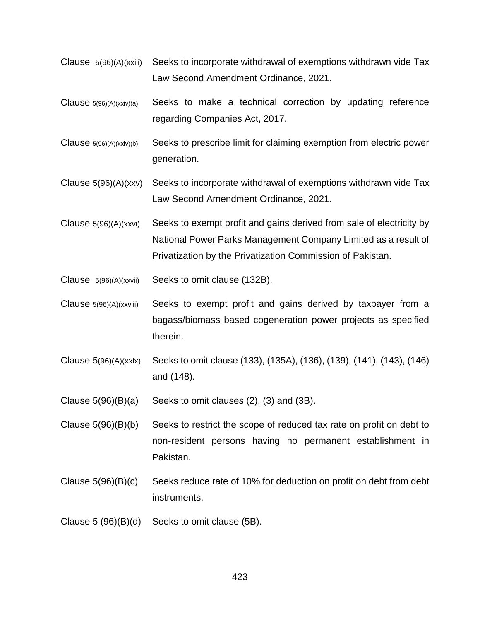- Clause 5(96)(A)(xxiii) Seeks to incorporate withdrawal of exemptions withdrawn vide Tax Law Second Amendment Ordinance, 2021.
- Clause 5(96)(A)(xxiv)(a) Seeks to make a technical correction by updating reference regarding Companies Act, 2017.
- Clause  $5(96)(A)(xxiv)(b)$  Seeks to prescribe limit for claiming exemption from electric power generation.
- Clause 5(96)(A)(xxv) Seeks to incorporate withdrawal of exemptions withdrawn vide Tax Law Second Amendment Ordinance, 2021.
- Clause 5(96)(A)(xxvi) Seeks to exempt profit and gains derived from sale of electricity by National Power Parks Management Company Limited as a result of Privatization by the Privatization Commission of Pakistan.
- Clause 5(96)(A)(xxvii) Seeks to omit clause (132B).
- Clause  $5(96)(A)(xxviii)$  Seeks to exempt profit and gains derived by taxpayer from a bagass/biomass based cogeneration power projects as specified therein.
- Clause 5(96)(A)(xxix) Seeks to omit clause (133), (135A), (136), (139), (141), (143), (146) and (148).
- Clause  $5(96)(B)(a)$  Seeks to omit clauses  $(2)$ ,  $(3)$  and  $(3B)$ .

Clause 5(96)(B)(b) Seeks to restrict the scope of reduced tax rate on profit on debt to non-resident persons having no permanent establishment in Pakistan.

- Clause 5(96)(B)(c) Seeks reduce rate of 10% for deduction on profit on debt from debt instruments.
- Clause 5 (96)(B)(d) Seeks to omit clause (5B).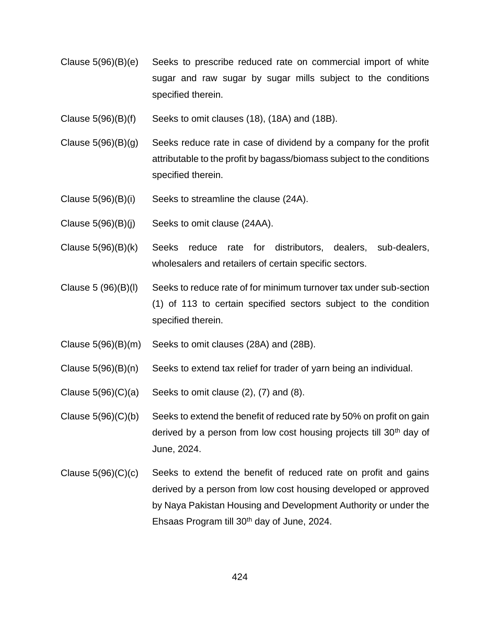- Clause 5(96)(B)(e) Seeks to prescribe reduced rate on commercial import of white sugar and raw sugar by sugar mills subject to the conditions specified therein.
- Clause  $5(96)(B)(f)$  Seeks to omit clauses (18), (18A) and (18B).
- Clause  $5(96)(B)(g)$  Seeks reduce rate in case of dividend by a company for the profit attributable to the profit by bagass/biomass subject to the conditions specified therein.
- Clause 5(96)(B)(i) Seeks to streamline the clause (24A).
- Clause 5(96)(B)(j) Seeks to omit clause (24AA).
- Clause 5(96)(B)(k) Seeks reduce rate for distributors, dealers, sub-dealers, wholesalers and retailers of certain specific sectors.
- Clause 5 (96)(B)(l) Seeks to reduce rate of for minimum turnover tax under sub-section (1) of 113 to certain specified sectors subject to the condition specified therein.
- Clause 5(96)(B)(m) Seeks to omit clauses (28A) and (28B).
- Clause 5(96)(B)(n) Seeks to extend tax relief for trader of yarn being an individual.
- Clause  $5(96)(C)(a)$  Seeks to omit clause  $(2)$ ,  $(7)$  and  $(8)$ .
- Clause  $5(96)(C)(b)$  Seeks to extend the benefit of reduced rate by 50% on profit on gain derived by a person from low cost housing projects till 30<sup>th</sup> day of June, 2024.
- Clause  $5(96)(C)(c)$  Seeks to extend the benefit of reduced rate on profit and gains derived by a person from low cost housing developed or approved by Naya Pakistan Housing and Development Authority or under the Ehsaas Program till 30th day of June, 2024.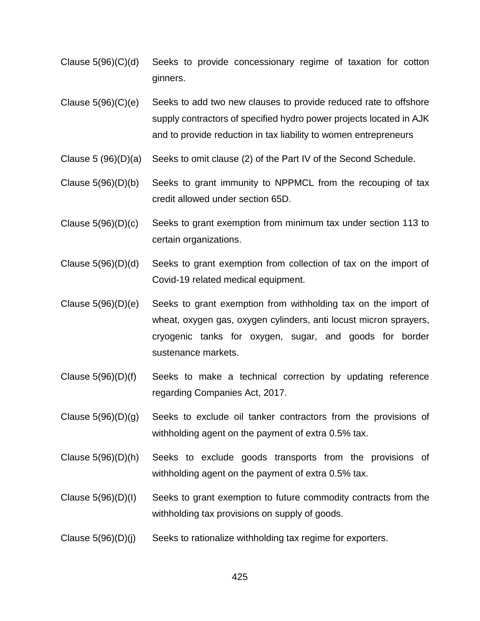- Clause 5(96)(C)(d) Seeks to provide concessionary regime of taxation for cotton ginners.
- Clause  $5(96)(C)(e)$  Seeks to add two new clauses to provide reduced rate to offshore supply contractors of specified hydro power projects located in AJK and to provide reduction in tax liability to women entrepreneurs
- Clause 5 (96)(D)(a) Seeks to omit clause (2) of the Part IV of the Second Schedule.
- Clause 5(96)(D)(b) Seeks to grant immunity to NPPMCL from the recouping of tax credit allowed under section 65D.
- Clause 5(96)(D)(c) Seeks to grant exemption from minimum tax under section 113 to certain organizations.
- Clause 5(96)(D)(d) Seeks to grant exemption from collection of tax on the import of Covid-19 related medical equipment.
- Clause 5(96)(D)(e) Seeks to grant exemption from withholding tax on the import of wheat, oxygen gas, oxygen cylinders, anti locust micron sprayers, cryogenic tanks for oxygen, sugar, and goods for border sustenance markets.
- Clause 5(96)(D)(f) Seeks to make a technical correction by updating reference regarding Companies Act, 2017.
- Clause 5(96)(D)(g) Seeks to exclude oil tanker contractors from the provisions of withholding agent on the payment of extra 0.5% tax.
- Clause 5(96)(D)(h) Seeks to exclude goods transports from the provisions of withholding agent on the payment of extra 0.5% tax.
- Clause 5(96)(D)(I) Seeks to grant exemption to future commodity contracts from the withholding tax provisions on supply of goods.
- Clause  $5(96)(D)(j)$  Seeks to rationalize withholding tax regime for exporters.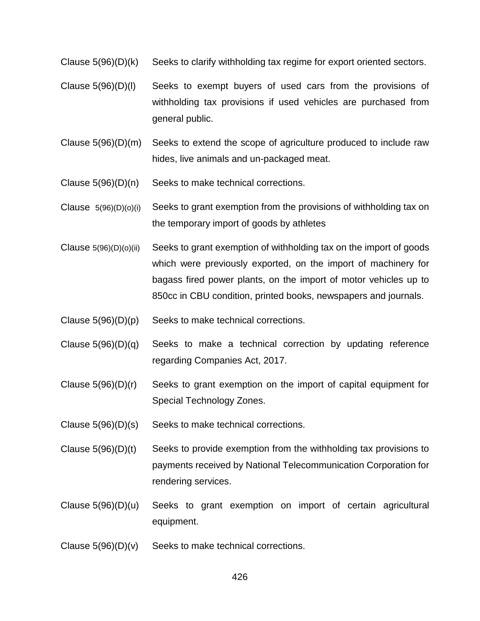Clause 5(96)(D)(k) Seeks to clarify withholding tax regime for export oriented sectors.

- Clause 5(96)(D)(l) Seeks to exempt buyers of used cars from the provisions of withholding tax provisions if used vehicles are purchased from general public.
- Clause 5(96)(D)(m) Seeks to extend the scope of agriculture produced to include raw hides, live animals and un-packaged meat.
- Clause 5(96)(D)(n) Seeks to make technical corrections.
- Clause 5(96)(D)(o)(i) Seeks to grant exemption from the provisions of withholding tax on the temporary import of goods by athletes
- Clause  $5(96)(D)(o)(ii)$  Seeks to grant exemption of withholding tax on the import of goods which were previously exported, on the import of machinery for bagass fired power plants, on the import of motor vehicles up to 850cc in CBU condition, printed books, newspapers and journals.
- Clause 5(96)(D)(p) Seeks to make technical corrections.
- Clause 5(96)(D)(q) Seeks to make a technical correction by updating reference regarding Companies Act, 2017.
- Clause 5(96)(D)(r) Seeks to grant exemption on the import of capital equipment for Special Technology Zones.
- Clause 5(96)(D)(s) Seeks to make technical corrections.
- Clause 5(96)(D)(t) Seeks to provide exemption from the withholding tax provisions to payments received by National Telecommunication Corporation for rendering services.
- Clause 5(96)(D)(u) Seeks to grant exemption on import of certain agricultural equipment.
- Clause  $5(96)(D)(v)$  Seeks to make technical corrections.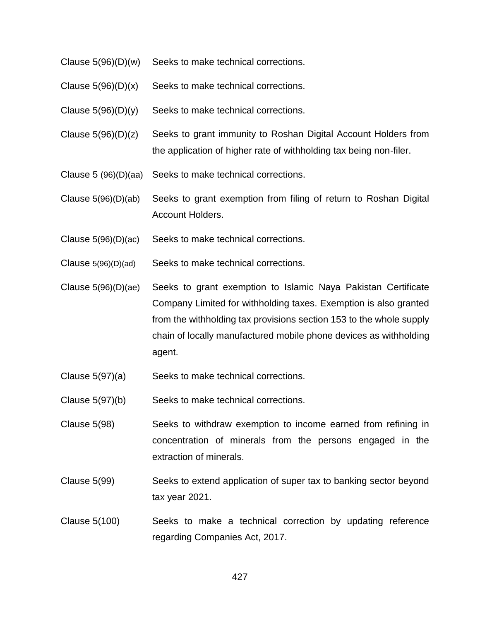- Clause 5(96)(D)(w) Seeks to make technical corrections.
- Clause  $5(96)(D)(x)$  Seeks to make technical corrections.
- Clause  $5(96)(D)(y)$  Seeks to make technical corrections.
- Clause 5(96)(D)(z) Seeks to grant immunity to Roshan Digital Account Holders from the application of higher rate of withholding tax being non-filer.
- Clause 5 (96)(D)(aa) Seeks to make technical corrections.
- Clause 5(96)(D)(ab) Seeks to grant exemption from filing of return to Roshan Digital Account Holders.
- Clause 5(96)(D)(ac) Seeks to make technical corrections.
- Clause 5(96)(D)(ad) Seeks to make technical corrections.
- Clause 5(96)(D)(ae) Seeks to grant exemption to Islamic Naya Pakistan Certificate Company Limited for withholding taxes. Exemption is also granted from the withholding tax provisions section 153 to the whole supply chain of locally manufactured mobile phone devices as withholding agent.
- Clause 5(97)(a) Seeks to make technical corrections.
- Clause 5(97)(b) Seeks to make technical corrections.
- Clause 5(98) Seeks to withdraw exemption to income earned from refining in concentration of minerals from the persons engaged in the extraction of minerals.
- Clause 5(99) Seeks to extend application of super tax to banking sector beyond tax year 2021.
- Clause 5(100) Seeks to make a technical correction by updating reference regarding Companies Act, 2017.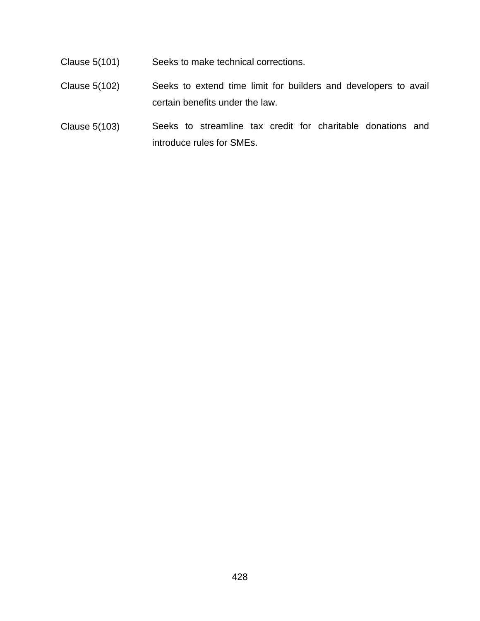- Clause 5(101) Seeks to make technical corrections.
- Clause 5(102) Seeks to extend time limit for builders and developers to avail certain benefits under the law.
- Clause 5(103) Seeks to streamline tax credit for charitable donations and introduce rules for SMEs.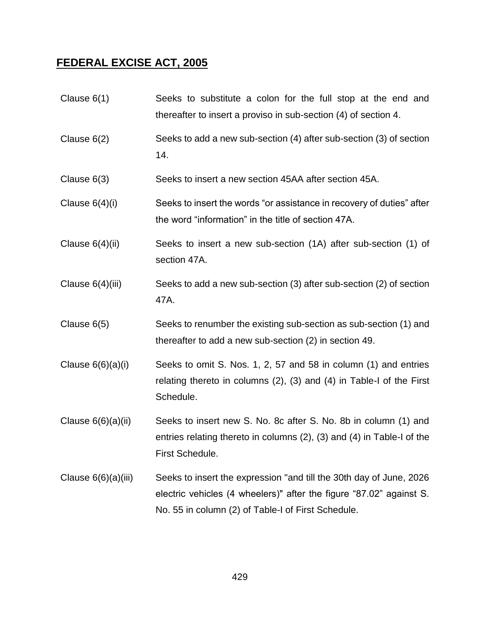### **FEDERAL EXCISE ACT, 2005**

- Clause 6(1) Seeks to substitute a colon for the full stop at the end and thereafter to insert a proviso in sub-section (4) of section 4.
- Clause 6(2) Seeks to add a new sub-section (4) after sub-section (3) of section 14.
- Clause 6(3) Seeks to insert a new section 45AA after section 45A.
- Clause 6(4)(i) Seeks to insert the words "or assistance in recovery of duties" after the word "information" in the title of section 47A.
- Clause 6(4)(ii) Seeks to insert a new sub-section (1A) after sub-section (1) of section 47A.
- Clause 6(4)(iii) Seeks to add a new sub-section (3) after sub-section (2) of section 47A.
- Clause 6(5) Seeks to renumber the existing sub-section as sub-section (1) and thereafter to add a new sub-section (2) in section 49.
- Clause  $6(6)(a)(i)$  Seeks to omit S. Nos. 1, 2, 57 and 58 in column (1) and entries relating thereto in columns (2), (3) and (4) in Table-I of the First Schedule.
- Clause 6(6)(a)(ii) Seeks to insert new S. No. 8c after S. No. 8b in column (1) and entries relating thereto in columns (2), (3) and (4) in Table-I of the First Schedule.
- Clause 6(6)(a)(iii) Seeks to insert the expression "and till the 30th day of June, 2026 electric vehicles (4 wheelers)" after the figure "87.02" against S. No. 55 in column (2) of Table-I of First Schedule.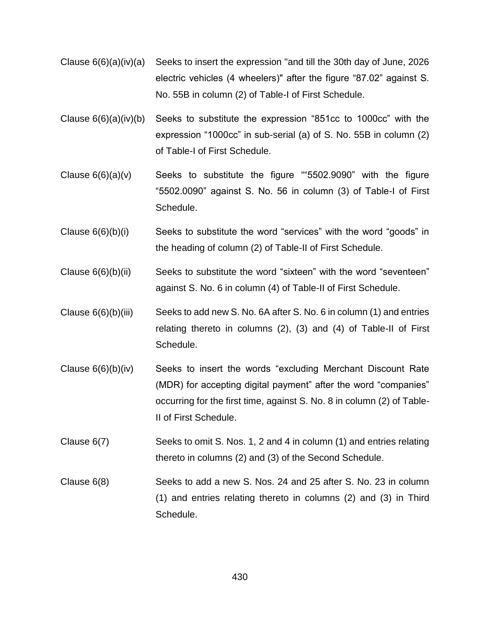- Clause 6(6)(a)(iv)(a) Seeks to insert the expression "and till the 30th day of June, 2026 electric vehicles (4 wheelers)" after the figure "87.02" against S. No. 55B in column (2) of Table-I of First Schedule.
- Clause 6(6)(a)(iv)(b) Seeks to substitute the expression "851cc to 1000cc" with the expression "1000cc" in sub-serial (a) of S. No. 55B in column (2) of Table-I of First Schedule.
- Clause  $6(6)(a)(v)$  Seeks to substitute the figure ""5502.9090" with the figure "5502.0090" against S. No. 56 in column (3) of Table-I of First Schedule.
- Clause 6(6)(b)(i) Seeks to substitute the word "services" with the word "goods" in the heading of column (2) of Table-II of First Schedule.
- Clause 6(6)(b)(ii) Seeks to substitute the word "sixteen" with the word "seventeen" against S. No. 6 in column (4) of Table-II of First Schedule.
- Clause 6(6)(b)(iii) Seeks to add new S. No. 6A after S. No. 6 in column (1) and entries relating thereto in columns (2), (3) and (4) of Table-II of First Schedule.
- Clause 6(6)(b)(iv) Seeks to insert the words "excluding Merchant Discount Rate (MDR) for accepting digital payment" after the word "companies" occurring for the first time, against S. No. 8 in column (2) of Table-II of First Schedule.
- Clause 6(7) Seeks to omit S. Nos. 1, 2 and 4 in column (1) and entries relating thereto in columns (2) and (3) of the Second Schedule.
- Clause 6(8) Seeks to add a new S. Nos. 24 and 25 after S. No. 23 in column (1) and entries relating thereto in columns (2) and (3) in Third Schedule.